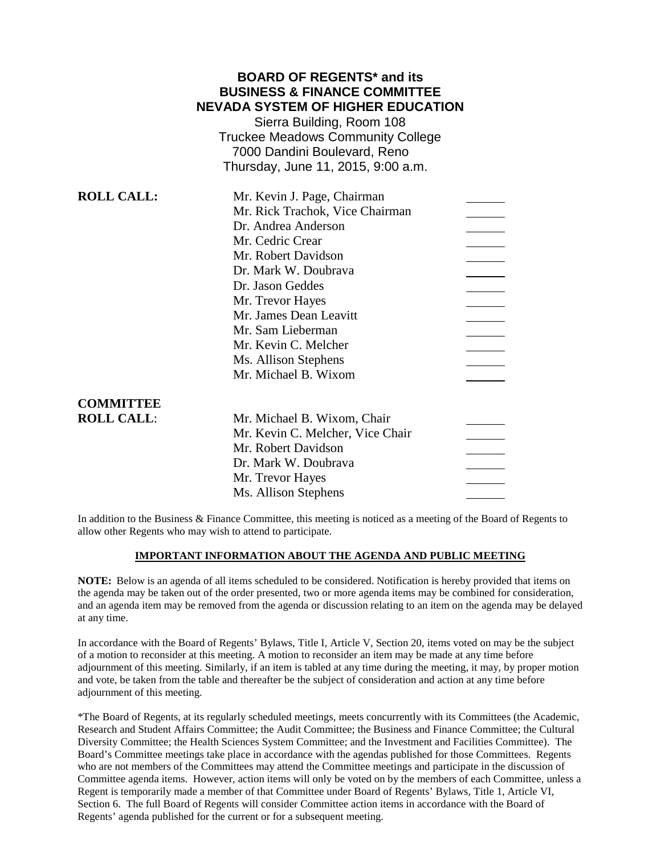# **BOARD OF REGENTS\* and its BUSINESS & FINANCE COMMITTEE NEVADA SYSTEM OF HIGHER EDUCATION**

Sierra Building, Room 108 Truckee Meadows Community College 7000 Dandini Boulevard, Reno Thursday, June 11, 2015, 9:00 a.m.

| <b>ROLL CALL:</b> | Mr. Kevin J. Page, Chairman      |  |
|-------------------|----------------------------------|--|
|                   | Mr. Rick Trachok, Vice Chairman  |  |
|                   | Dr. Andrea Anderson              |  |
|                   | Mr. Cedric Crear                 |  |
|                   | Mr. Robert Davidson              |  |
|                   | Dr. Mark W. Doubrava             |  |
|                   | Dr. Jason Geddes                 |  |
|                   | Mr. Trevor Hayes                 |  |
|                   | Mr. James Dean Leavitt           |  |
|                   | Mr. Sam Lieberman                |  |
|                   | Mr. Kevin C. Melcher             |  |
|                   | Ms. Allison Stephens             |  |
|                   | Mr. Michael B. Wixom             |  |
| <b>COMMITTEE</b>  |                                  |  |
| <b>ROLL CALL:</b> | Mr. Michael B. Wixom, Chair      |  |
|                   | Mr. Kevin C. Melcher, Vice Chair |  |
|                   | Mr. Robert Davidson              |  |
|                   | Dr. Mark W. Doubrava             |  |
|                   | Mr. Trevor Hayes                 |  |
|                   | Ms. Allison Stephens             |  |

In addition to the Business & Finance Committee, this meeting is noticed as a meeting of the Board of Regents to allow other Regents who may wish to attend to participate.

#### **IMPORTANT INFORMATION ABOUT THE AGENDA AND PUBLIC MEETING**

**NOTE:** Below is an agenda of all items scheduled to be considered. Notification is hereby provided that items on the agenda may be taken out of the order presented, two or more agenda items may be combined for consideration, and an agenda item may be removed from the agenda or discussion relating to an item on the agenda may be delayed at any time.

In accordance with the Board of Regents' Bylaws, Title I, Article V, Section 20, items voted on may be the subject of a motion to reconsider at this meeting. A motion to reconsider an item may be made at any time before adjournment of this meeting. Similarly, if an item is tabled at any time during the meeting, it may, by proper motion and vote, be taken from the table and thereafter be the subject of consideration and action at any time before adjournment of this meeting.

\*The Board of Regents, at its regularly scheduled meetings, meets concurrently with its Committees (the Academic, Research and Student Affairs Committee; the Audit Committee; the Business and Finance Committee; the Cultural Diversity Committee; the Health Sciences System Committee; and the Investment and Facilities Committee). The Board's Committee meetings take place in accordance with the agendas published for those Committees. Regents who are not members of the Committees may attend the Committee meetings and participate in the discussion of Committee agenda items. However, action items will only be voted on by the members of each Committee, unless a Regent is temporarily made a member of that Committee under Board of Regents' Bylaws, Title 1, Article VI, Section 6. The full Board of Regents will consider Committee action items in accordance with the Board of Regents' agenda published for the current or for a subsequent meeting.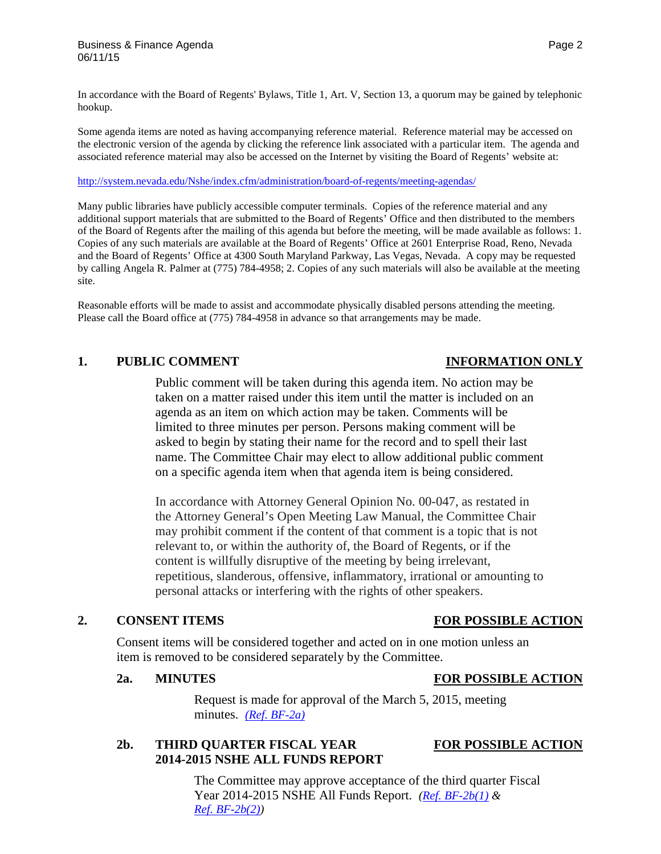In accordance with the Board of Regents' Bylaws, Title 1, Art. V, Section 13, a quorum may be gained by telephonic hookup.

Some agenda items are noted as having accompanying reference material. Reference material may be accessed on the electronic version of the agenda by clicking the reference link associated with a particular item. The agenda and associated reference material may also be accessed on the Internet by visiting the Board of Regents' website at:

<http://system.nevada.edu/Nshe/index.cfm/administration/board-of-regents/meeting-agendas/>

Many public libraries have publicly accessible computer terminals. Copies of the reference material and any additional support materials that are submitted to the Board of Regents' Office and then distributed to the members of the Board of Regents after the mailing of this agenda but before the meeting, will be made available as follows: 1. Copies of any such materials are available at the Board of Regents' Office at 2601 Enterprise Road, Reno, Nevada and the Board of Regents' Office at 4300 South Maryland Parkway, Las Vegas, Nevada. A copy may be requested by calling Angela R. Palmer at (775) 784-4958; 2. Copies of any such materials will also be available at the meeting site.

Reasonable efforts will be made to assist and accommodate physically disabled persons attending the meeting. Please call the Board office at (775) 784-4958 in advance so that arrangements may be made.

### **1. PUBLIC COMMENT INFORMATION ONLY**

Public comment will be taken during this agenda item. No action may be taken on a matter raised under this item until the matter is included on an agenda as an item on which action may be taken. Comments will be limited to three minutes per person. Persons making comment will be asked to begin by stating their name for the record and to spell their last name. The Committee Chair may elect to allow additional public comment on a specific agenda item when that agenda item is being considered.

In accordance with Attorney General Opinion No. 00-047, as restated in the Attorney General's Open Meeting Law Manual, the Committee Chair may prohibit comment if the content of that comment is a topic that is not relevant to, or within the authority of, the Board of Regents, or if the content is willfully disruptive of the meeting by being irrelevant, repetitious, slanderous, offensive, inflammatory, irrational or amounting to personal attacks or interfering with the rights of other speakers.

### **2. CONSENT ITEMS FOR POSSIBLE ACTION**

Consent items will be considered together and acted on in one motion unless an item is removed to be considered separately by the Committee.

### **2a. MINUTES FOR POSSIBLE ACTION**

Request is made for approval of the March 5, 2015, meeting minutes. *[\(Ref. BF-2a\)](http://system.nevada.edu/tasks/sites/Nshe/assets/File/BoardOfRegents/Agendas/2015/jun-mtgs/bf-refs/BF-2a.pdf)*

### **2b. THIRD QUARTER FISCAL YEAR FOR POSSIBLE ACTION 2014-2015 NSHE ALL FUNDS REPORT**

The Committee may approve acceptance of the third quarter Fiscal Year 2014-2015 NSHE All Funds Report. *[\(Ref. BF-2b\(1\)](http://system.nevada.edu/tasks/sites/Nshe/assets/File/BoardOfRegents/Agendas/2015/jun-mtgs/bf-refs/BF-2b(1).pdf) & [Ref. BF-2b\(2\)\)](http://system.nevada.edu/tasks/sites/Nshe/assets/File/BoardOfRegents/Agendas/2015/jun-mtgs/bf-refs/BF-2b(2).pdf)*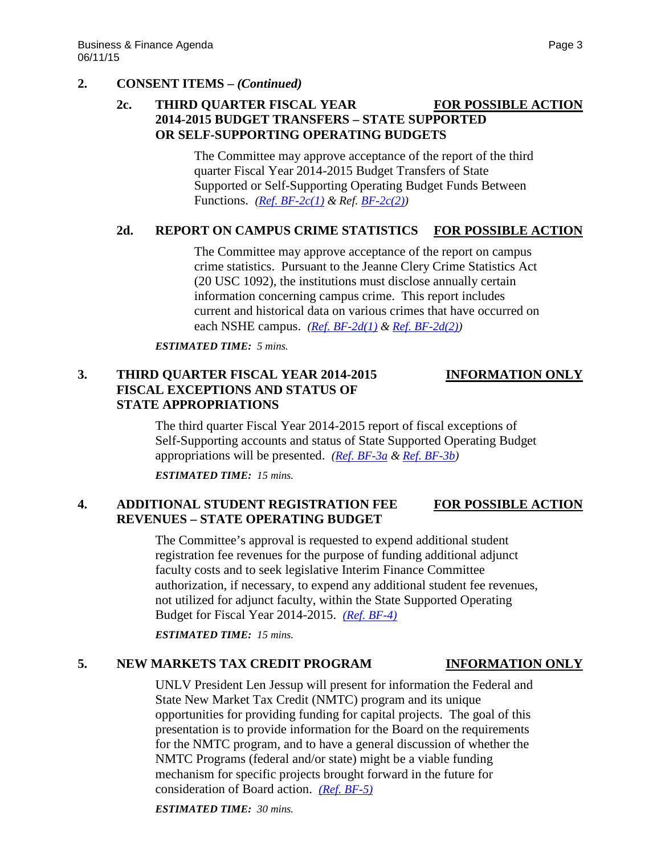### **2. CONSENT ITEMS –** *(Continued)*

## **2c. THIRD QUARTER FISCAL YEAR FOR POSSIBLE ACTION 2014-2015 BUDGET TRANSFERS – STATE SUPPORTED OR SELF-SUPPORTING OPERATING BUDGETS**

The Committee may approve acceptance of the report of the third quarter Fiscal Year 2014-2015 Budget Transfers of State Supported or Self-Supporting Operating Budget Funds Between Functions. *[\(Ref. BF-2c\(1\)](http://system.nevada.edu/tasks/sites/Nshe/assets/File/BoardOfRegents/Agendas/2015/jun-mtgs/bf-refs/BF-2c(1).pdf) & Ref. [BF-2c\(2\)\)](http://system.nevada.edu/tasks/sites/Nshe/assets/File/BoardOfRegents/Agendas/2015/jun-mtgs/bf-refs/BF-2c(2).pdf)*

### **2d. REPORT ON CAMPUS CRIME STATISTICS FOR POSSIBLE ACTION**

The Committee may approve acceptance of the report on campus crime statistics. Pursuant to the Jeanne Clery Crime Statistics Act (20 USC 1092), the institutions must disclose annually certain information concerning campus crime. This report includes current and historical data on various crimes that have occurred on each NSHE campus. *[\(Ref. BF-2d\(1\)](http://system.nevada.edu/tasks/sites/Nshe/assets/File/BoardOfRegents/Agendas/2015/jun-mtgs/bf-refs/BF-2d(1).pdf) & [Ref. BF-2d\(2\)\)](http://system.nevada.edu/tasks/sites/Nshe/assets/File/BoardOfRegents/Agendas/2015/jun-mtgs/bf-refs/BF-2d(2).pdf)*

*ESTIMATED TIME: 5 mins.*

### **3. THIRD QUARTER FISCAL YEAR 2014-2015 INFORMATION ONLY FISCAL EXCEPTIONS AND STATUS OF STATE APPROPRIATIONS**

### The third quarter Fiscal Year 2014-2015 report of fiscal exceptions of Self-Supporting accounts and status of State Supported Operating Budget appropriations will be presented. *[\(Ref. BF-3a](http://system.nevada.edu/tasks/sites/Nshe/assets/File/BoardOfRegents/Agendas/2015/jun-mtgs/bf-refs/BF-3a.pdf) & [Ref. BF-3b\)](http://system.nevada.edu/tasks/sites/Nshe/assets/File/BoardOfRegents/Agendas/2015/jun-mtgs/bf-refs/BF-3b.pdf)*

*ESTIMATED TIME: 15 mins.*

### **4. ADDITIONAL STUDENT REGISTRATION FEE FOR POSSIBLE ACTION REVENUES – STATE OPERATING BUDGET**

The Committee's approval is requested to expend additional student registration fee revenues for the purpose of funding additional adjunct faculty costs and to seek legislative Interim Finance Committee authorization, if necessary, to expend any additional student fee revenues, not utilized for adjunct faculty, within the State Supported Operating Budget for Fiscal Year 2014-2015. *[\(Ref. BF-4\)](http://system.nevada.edu/tasks/sites/Nshe/assets/File/BoardOfRegents/Agendas/2015/jun-mtgs/bf-refs/BF-4.pdf)*

*ESTIMATED TIME: 15 mins.*

### **5. NEW MARKETS TAX CREDIT PROGRAM INFORMATION ONLY**

UNLV President Len Jessup will present for information the Federal and State New Market Tax Credit (NMTC) program and its unique opportunities for providing funding for capital projects. The goal of this presentation is to provide information for the Board on the requirements for the NMTC program, and to have a general discussion of whether the NMTC Programs (federal and/or state) might be a viable funding mechanism for specific projects brought forward in the future for consideration of Board action. *[\(Ref. BF-5\)](http://system.nevada.edu/tasks/sites/Nshe/assets/File/BoardOfRegents/Agendas/2015/jun-mtgs/bf-refs/BF-5.pdf)*

*ESTIMATED TIME: 30 mins.*